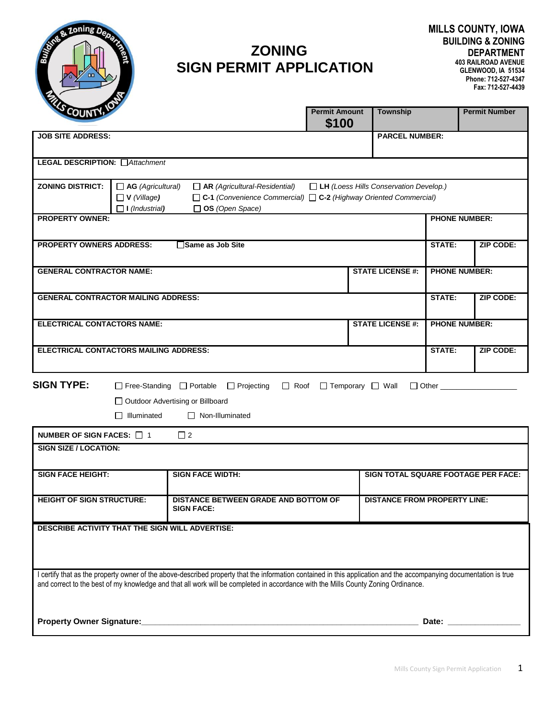

# **ZONING SIGN PERMIT APPLICATION**

| <sup>o</sup> COUNTY <sub>1</sub>                                                                                                             |                                             |                                                                                                                                                                    | <b>Permit Amount</b><br>\$100                                                                                                                                                                                                  | <b>Township</b>              |                      | <b>Permit Number</b>                |  |
|----------------------------------------------------------------------------------------------------------------------------------------------|---------------------------------------------|--------------------------------------------------------------------------------------------------------------------------------------------------------------------|--------------------------------------------------------------------------------------------------------------------------------------------------------------------------------------------------------------------------------|------------------------------|----------------------|-------------------------------------|--|
| <b>JOB SITE ADDRESS:</b><br><b>PARCEL NUMBER:</b>                                                                                            |                                             |                                                                                                                                                                    |                                                                                                                                                                                                                                |                              |                      |                                     |  |
|                                                                                                                                              |                                             |                                                                                                                                                                    |                                                                                                                                                                                                                                |                              |                      |                                     |  |
| <b>LEGAL DESCRIPTION:</b> □ Attachment                                                                                                       |                                             |                                                                                                                                                                    |                                                                                                                                                                                                                                |                              |                      |                                     |  |
| <b>ZONING DISTRICT:</b><br>$\Box$ AG (Agricultural)<br>$\Box$ AR (Agricultural-Residential)<br>$\Box$ LH (Loess Hills Conservation Develop.) |                                             |                                                                                                                                                                    |                                                                                                                                                                                                                                |                              |                      |                                     |  |
|                                                                                                                                              | $\Box$ V (Village)<br>$\Box$ I (Industrial) | $\Box$ C-1 (Convenience Commercial) $\Box$ C-2 (Highway Oriented Commercial)<br>OS (Open Space)                                                                    |                                                                                                                                                                                                                                |                              |                      |                                     |  |
| <b>PROPERTY OWNER:</b>                                                                                                                       |                                             |                                                                                                                                                                    |                                                                                                                                                                                                                                |                              |                      | <b>PHONE NUMBER:</b>                |  |
|                                                                                                                                              |                                             |                                                                                                                                                                    |                                                                                                                                                                                                                                |                              |                      |                                     |  |
| <b>PROPERTY OWNERS ADDRESS:</b><br>Same as Job Site                                                                                          |                                             |                                                                                                                                                                    |                                                                                                                                                                                                                                |                              |                      | <b>ZIP CODE:</b>                    |  |
|                                                                                                                                              |                                             |                                                                                                                                                                    |                                                                                                                                                                                                                                | <b>STATE LICENSE #:</b>      | <b>PHONE NUMBER:</b> |                                     |  |
| <b>GENERAL CONTRACTOR NAME:</b>                                                                                                              |                                             |                                                                                                                                                                    |                                                                                                                                                                                                                                |                              |                      |                                     |  |
| <b>GENERAL CONTRACTOR MAILING ADDRESS:</b>                                                                                                   |                                             |                                                                                                                                                                    |                                                                                                                                                                                                                                |                              | STATE:               | <b>ZIP CODE:</b>                    |  |
|                                                                                                                                              |                                             |                                                                                                                                                                    |                                                                                                                                                                                                                                |                              |                      |                                     |  |
| <b>STATE LICENSE #:</b><br><b>ELECTRICAL CONTACTORS NAME:</b>                                                                                |                                             |                                                                                                                                                                    |                                                                                                                                                                                                                                |                              | <b>PHONE NUMBER:</b> |                                     |  |
| ELECTRICAL CONTACTORS MAILING ADDRESS:                                                                                                       |                                             |                                                                                                                                                                    |                                                                                                                                                                                                                                |                              | <b>STATE:</b>        | <b>ZIP CODE:</b>                    |  |
|                                                                                                                                              |                                             |                                                                                                                                                                    |                                                                                                                                                                                                                                |                              |                      |                                     |  |
| <b>SIGN TYPE:</b>                                                                                                                            | $\Box$ Free-Standing $\Box$ Portable        | $\Box$ Projecting<br>$\Box$ Roof                                                                                                                                   |                                                                                                                                                                                                                                | $\Box$ Temporary $\Box$ Wall | $\Box$ Other         |                                     |  |
| □ Outdoor Advertising or Billboard                                                                                                           |                                             |                                                                                                                                                                    |                                                                                                                                                                                                                                |                              |                      |                                     |  |
|                                                                                                                                              | $\Box$ Illuminated                          | $\Box$ Non-Illuminated                                                                                                                                             |                                                                                                                                                                                                                                |                              |                      |                                     |  |
| NUMBER OF SIGN FACES: $\Box$ 1                                                                                                               |                                             | $\Box$ 2                                                                                                                                                           |                                                                                                                                                                                                                                |                              |                      |                                     |  |
| SIGN SIZE / LOCATION:                                                                                                                        |                                             |                                                                                                                                                                    |                                                                                                                                                                                                                                |                              |                      |                                     |  |
|                                                                                                                                              |                                             |                                                                                                                                                                    |                                                                                                                                                                                                                                |                              |                      |                                     |  |
| <b>SIGN FACE HEIGHT:</b>                                                                                                                     |                                             | <b>SIGN FACE WIDTH:</b>                                                                                                                                            |                                                                                                                                                                                                                                |                              |                      | SIGN TOTAL SQUARE FOOTAGE PER FACE: |  |
| <b>HEIGHT OF SIGN STRUCTURE:</b><br>DISTANCE BETWEEN GRADE AND BOTTOM OF<br><b>DISTANCE FROM PROPERTY LINE:</b>                              |                                             |                                                                                                                                                                    |                                                                                                                                                                                                                                |                              |                      |                                     |  |
| <b>SIGN FACE:</b>                                                                                                                            |                                             |                                                                                                                                                                    |                                                                                                                                                                                                                                |                              |                      |                                     |  |
| DESCRIBE ACTIVITY THAT THE SIGN WILL ADVERTISE:                                                                                              |                                             |                                                                                                                                                                    |                                                                                                                                                                                                                                |                              |                      |                                     |  |
|                                                                                                                                              |                                             |                                                                                                                                                                    |                                                                                                                                                                                                                                |                              |                      |                                     |  |
|                                                                                                                                              |                                             |                                                                                                                                                                    |                                                                                                                                                                                                                                |                              |                      |                                     |  |
|                                                                                                                                              |                                             | I certify that as the property owner of the above-described property that the information contained in this application and the accompanying documentation is true |                                                                                                                                                                                                                                |                              |                      |                                     |  |
|                                                                                                                                              |                                             | and correct to the best of my knowledge and that all work will be completed in accordance with the Mills County Zoning Ordinance.                                  |                                                                                                                                                                                                                                |                              |                      |                                     |  |
|                                                                                                                                              |                                             |                                                                                                                                                                    |                                                                                                                                                                                                                                |                              |                      |                                     |  |
|                                                                                                                                              |                                             |                                                                                                                                                                    | Date: the contract of the contract of the contract of the contract of the contract of the contract of the contract of the contract of the contract of the contract of the contract of the contract of the contract of the cont |                              |                      |                                     |  |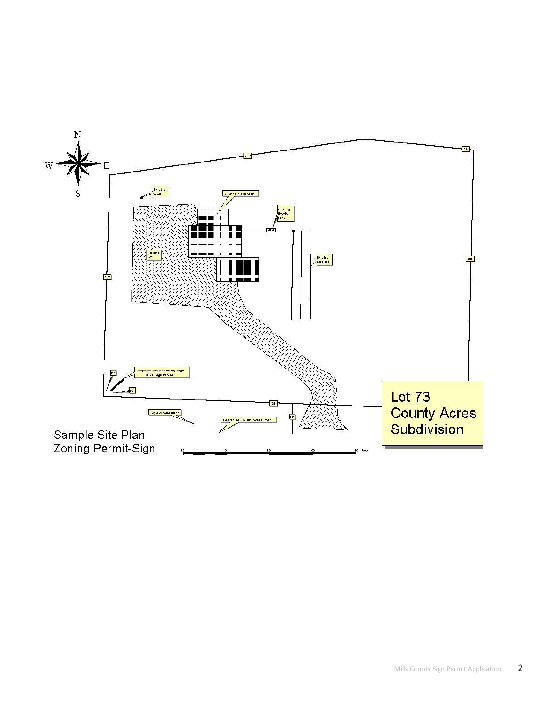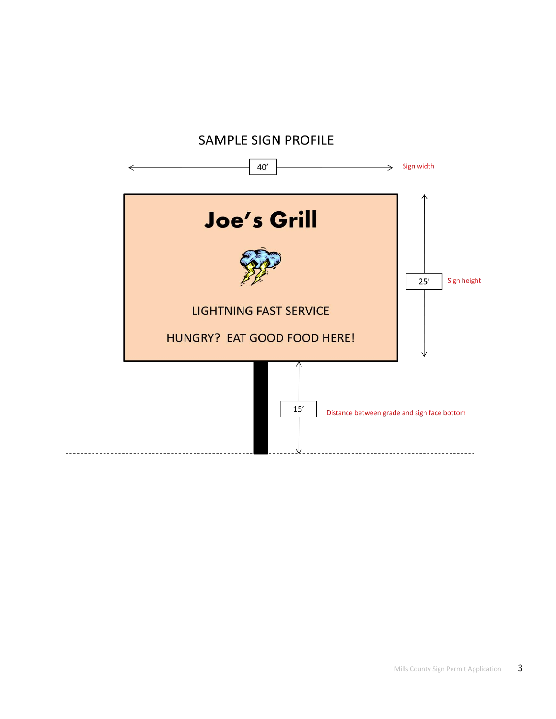